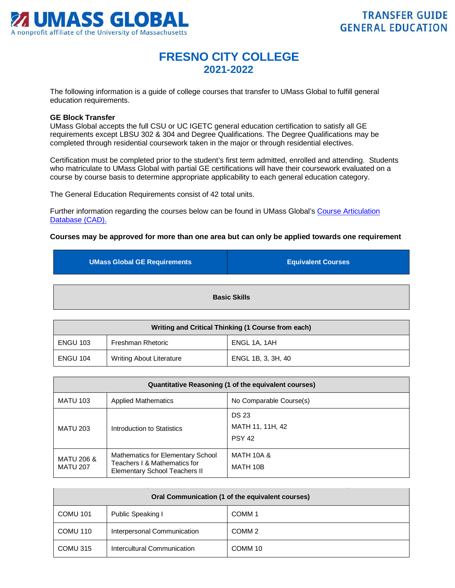

## **FRESNO CITY COLLEGE 2021-2022**

The following information is a guide of college courses that transfer to UMass Global to fulfill general education requirements.

## **GE Block Transfer**

UMass Global accepts the full CSU or UC IGETC general education certification to satisfy all GE requirements except LBSU 302 & 304 and Degree Qualifications. The Degree Qualifications may be completed through residential coursework taken in the major or through residential electives.

Certification must be completed prior to the student's first term admitted, enrolled and attending. Students who matriculate to UMass Global with partial GE certifications will have their coursework evaluated on a course by course basis to determine appropriate applicability to each general education category.

The General Education Requirements consist of 42 total units.

Further information regarding the courses below can be found in UMass Global's [Course Articulation](http://services.umassglobal.edu/studentservices/TransferCredit/)  Database (CAD).

## **Courses may be approved for more than one area but can only be applied towards one requirement**

| <b>UMass Global GE Requirements</b> | <b>Equivalent Courses</b> |
|-------------------------------------|---------------------------|
| <b>Basic Skills</b>                 |                           |

| Writing and Critical Thinking (1 Course from each) |                                 |                    |
|----------------------------------------------------|---------------------------------|--------------------|
| <b>ENGU 103</b>                                    | Freshman Rhetoric               | ENGL 1A, 1AH       |
| <b>ENGU 104</b>                                    | <b>Writing About Literature</b> | ENGL 1B, 3, 3H, 40 |

| Quantitative Reasoning (1 of the equivalent courses) |                                                                                                           |                                                   |
|------------------------------------------------------|-----------------------------------------------------------------------------------------------------------|---------------------------------------------------|
| <b>MATU 103</b>                                      | <b>Applied Mathematics</b>                                                                                | No Comparable Course(s)                           |
| <b>MATU 203</b>                                      | Introduction to Statistics                                                                                | <b>DS 23</b><br>MATH 11, 11H, 42<br><b>PSY 42</b> |
| <b>MATU 206 &amp;</b><br><b>MATU 207</b>             | Mathematics for Elementary School<br>Teachers I & Mathematics for<br><b>Elementary School Teachers II</b> | <b>MATH 10A &amp;</b><br>MATH 10B                 |

| Oral Communication (1 of the equivalent courses) |                             |                   |
|--------------------------------------------------|-----------------------------|-------------------|
| <b>COMU 101</b>                                  | Public Speaking I           | COMM <sub>1</sub> |
| COMU 110                                         | Interpersonal Communication | COMM <sub>2</sub> |
| COMU 315                                         | Intercultural Communication | COMM 10           |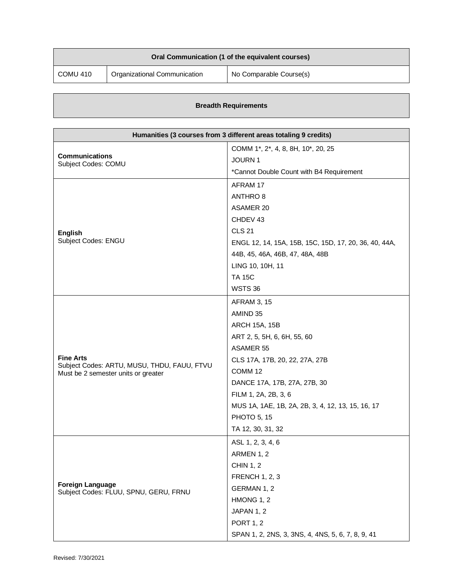| Oral Communication (1 of the equivalent courses) |                              |                         |
|--------------------------------------------------|------------------------------|-------------------------|
| COMU 410                                         | Organizational Communication | No Comparable Course(s) |

|  | <b>Breadth Requirements</b> |
|--|-----------------------------|
|--|-----------------------------|

| Humanities (3 courses from 3 different areas totaling 9 credits) |                                                       |  |
|------------------------------------------------------------------|-------------------------------------------------------|--|
| <b>Communications</b><br>Subject Codes: COMU                     | COMM 1*, 2*, 4, 8, 8H, 10*, 20, 25                    |  |
|                                                                  | <b>JOURN1</b>                                         |  |
|                                                                  | *Cannot Double Count with B4 Requirement              |  |
|                                                                  | AFRAM 17                                              |  |
|                                                                  | ANTHRO 8                                              |  |
|                                                                  | <b>ASAMER 20</b>                                      |  |
|                                                                  | CHDEV 43                                              |  |
| <b>English</b>                                                   | <b>CLS 21</b>                                         |  |
| Subject Codes: ENGU                                              | ENGL 12, 14, 15A, 15B, 15C, 15D, 17, 20, 36, 40, 44A, |  |
|                                                                  | 44B, 45, 46A, 46B, 47, 48A, 48B                       |  |
|                                                                  | LING 10, 10H, 11                                      |  |
|                                                                  | <b>TA 15C</b>                                         |  |
|                                                                  | <b>WSTS 36</b>                                        |  |
|                                                                  | <b>AFRAM 3, 15</b>                                    |  |
|                                                                  | AMIND 35                                              |  |
|                                                                  | <b>ARCH 15A, 15B</b>                                  |  |
|                                                                  | ART 2, 5, 5H, 6, 6H, 55, 60                           |  |
|                                                                  | <b>ASAMER 55</b>                                      |  |
| <b>Fine Arts</b><br>Subject Codes: ARTU, MUSU, THDU, FAUU, FTVU  | CLS 17A, 17B, 20, 22, 27A, 27B                        |  |
| Must be 2 semester units or greater                              | COMM 12                                               |  |
|                                                                  | DANCE 17A, 17B, 27A, 27B, 30                          |  |
|                                                                  | FILM 1, 2A, 2B, 3, 6                                  |  |
|                                                                  | MUS 1A, 1AE, 1B, 2A, 2B, 3, 4, 12, 13, 15, 16, 17     |  |
|                                                                  | <b>PHOTO 5, 15</b>                                    |  |
|                                                                  | TA 12, 30, 31, 32                                     |  |
|                                                                  | ASL 1, 2, 3, 4, 6                                     |  |
|                                                                  | ARMEN 1, 2                                            |  |
|                                                                  | <b>CHIN 1, 2</b>                                      |  |
| <b>Foreign Language</b><br>Subject Codes: FLUU, SPNU, GERU, FRNU | <b>FRENCH 1, 2, 3</b>                                 |  |
|                                                                  | GERMAN 1, 2                                           |  |
|                                                                  | HMONG 1, 2                                            |  |
|                                                                  | JAPAN 1, 2                                            |  |
|                                                                  | <b>PORT 1, 2</b>                                      |  |
|                                                                  | SPAN 1, 2, 2NS, 3, 3NS, 4, 4NS, 5, 6, 7, 8, 9, 41     |  |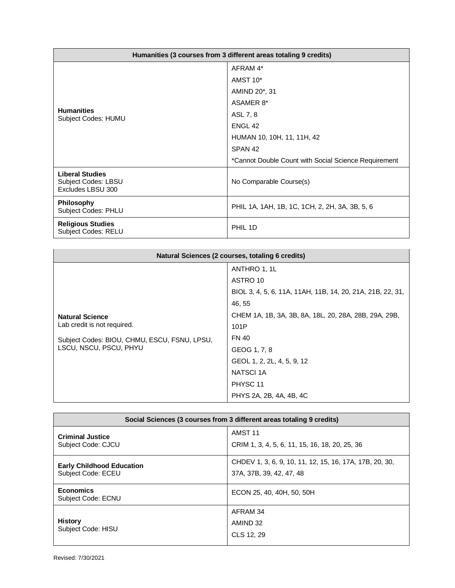| Humanities (3 courses from 3 different areas totaling 9 credits)          |                                                      |  |
|---------------------------------------------------------------------------|------------------------------------------------------|--|
| <b>Humanities</b><br>Subject Codes: HUMU                                  | AFRAM 4*                                             |  |
|                                                                           | AMST 10*                                             |  |
|                                                                           | AMIND 20 <sup>*</sup> , 31                           |  |
|                                                                           | ASAMER 8*                                            |  |
|                                                                           | ASL 7, 8                                             |  |
|                                                                           | ENGL <sub>42</sub>                                   |  |
|                                                                           | HUMAN 10, 10H, 11, 11H, 42                           |  |
|                                                                           | SPAN <sub>42</sub>                                   |  |
|                                                                           | *Cannot Double Count with Social Science Requirement |  |
| <b>Liberal Studies</b><br><b>Subject Codes: LBSU</b><br>Excludes LBSU 300 | No Comparable Course(s)                              |  |
| <b>Philosophy</b><br><b>Subject Codes: PHLU</b>                           | PHIL 1A, 1AH, 1B, 1C, 1CH, 2, 2H, 3A, 3B, 5, 6       |  |
| <b>Religious Studies</b><br><b>Subject Codes: RELU</b>                    | PHIL 1D                                              |  |

| Natural Sciences (2 courses, totaling 6 credits)                       |                                                            |  |
|------------------------------------------------------------------------|------------------------------------------------------------|--|
|                                                                        | ANTHRO 1, 1L                                               |  |
|                                                                        | ASTRO 10                                                   |  |
| <b>Natural Science</b>                                                 | BIOL 3, 4, 5, 6, 11A, 11AH, 11B, 14, 20, 21A, 21B, 22, 31, |  |
|                                                                        | 46, 55                                                     |  |
|                                                                        | CHEM 1A, 1B, 3A, 3B, 8A, 18L, 20, 28A, 28B, 29A, 29B,      |  |
| Lab credit is not required.                                            | 101P                                                       |  |
| Subject Codes: BIOU, CHMU, ESCU, FSNU, LPSU,<br>LSCU, NSCU, PSCU, PHYU | <b>FN 40</b>                                               |  |
|                                                                        | GEOG 1, 7, 8                                               |  |
|                                                                        | GEOL 1, 2, 2L, 4, 5, 9, 12                                 |  |
|                                                                        | <b>NATSCI 1A</b>                                           |  |
|                                                                        | PHYSC 11                                                   |  |
|                                                                        | PHYS 2A, 2B, 4A, 4B, 4C                                    |  |

| Social Sciences (3 courses from 3 different areas totaling 9 credits) |                                                                                     |  |
|-----------------------------------------------------------------------|-------------------------------------------------------------------------------------|--|
| <b>Criminal Justice</b><br>Subject Code: CJCU                         | AMST <sub>11</sub><br>CRIM 1, 3, 4, 5, 6, 11, 15, 16, 18, 20, 25, 36                |  |
| <b>Early Childhood Education</b><br>Subject Code: ECEU                | CHDEV 1, 3, 6, 9, 10, 11, 12, 15, 16, 17A, 17B, 20, 30,<br>37A, 37B, 39, 42, 47, 48 |  |
| <b>Economics</b><br><b>Subject Code: ECNU</b>                         | ECON 25, 40, 40H, 50, 50H                                                           |  |
| <b>History</b><br>Subject Code: HISU                                  | AFRAM 34<br>AMIND 32<br>CLS 12, 29                                                  |  |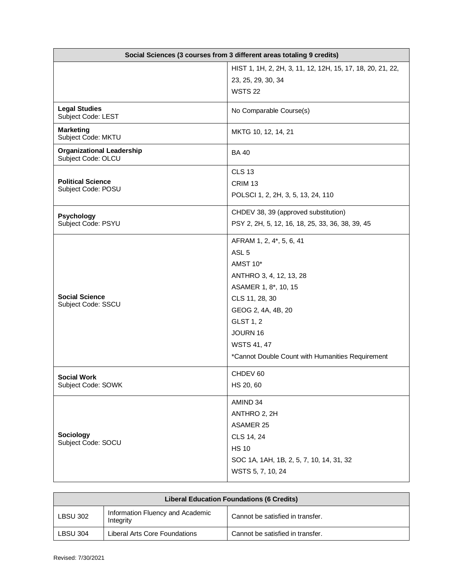| Social Sciences (3 courses from 3 different areas totaling 9 credits) |                                                                                                                                                                                                                                                               |  |
|-----------------------------------------------------------------------|---------------------------------------------------------------------------------------------------------------------------------------------------------------------------------------------------------------------------------------------------------------|--|
|                                                                       | HIST 1, 1H, 2, 2H, 3, 11, 12, 12H, 15, 17, 18, 20, 21, 22,<br>23, 25, 29, 30, 34<br><b>WSTS 22</b>                                                                                                                                                            |  |
| <b>Legal Studies</b><br>Subject Code: LEST                            | No Comparable Course(s)                                                                                                                                                                                                                                       |  |
| <b>Marketing</b><br>Subject Code: MKTU                                | MKTG 10, 12, 14, 21                                                                                                                                                                                                                                           |  |
| <b>Organizational Leadership</b><br>Subject Code: OLCU                | <b>BA40</b>                                                                                                                                                                                                                                                   |  |
| <b>Political Science</b><br>Subject Code: POSU                        | <b>CLS 13</b><br>CRIM <sub>13</sub><br>POLSCI 1, 2, 2H, 3, 5, 13, 24, 110                                                                                                                                                                                     |  |
| Psychology<br>Subject Code: PSYU                                      | CHDEV 38, 39 (approved substitution)<br>PSY 2, 2H, 5, 12, 16, 18, 25, 33, 36, 38, 39, 45                                                                                                                                                                      |  |
| <b>Social Science</b><br>Subject Code: SSCU                           | AFRAM 1, 2, 4*, 5, 6, 41<br>ASL <sub>5</sub><br>AMST 10*<br>ANTHRO 3, 4, 12, 13, 28<br>ASAMER 1, 8*, 10, 15<br>CLS 11, 28, 30<br>GEOG 2, 4A, 4B, 20<br><b>GLST 1, 2</b><br>JOURN 16<br><b>WSTS 41, 47</b><br>*Cannot Double Count with Humanities Requirement |  |
| <b>Social Work</b><br>Subject Code: SOWK                              | CHDEV 60<br>HS 20, 60                                                                                                                                                                                                                                         |  |
| Sociology<br>Subject Code: SOCU                                       | AMIND 34<br>ANTHRO 2, 2H<br><b>ASAMER 25</b><br>CLS 14, 24<br><b>HS 10</b><br>SOC 1A, 1AH, 1B, 2, 5, 7, 10, 14, 31, 32<br>WSTS 5, 7, 10, 24                                                                                                                   |  |

| <b>Liberal Education Foundations (6 Credits)</b> |                                               |                                  |
|--------------------------------------------------|-----------------------------------------------|----------------------------------|
| <b>LBSU 302</b>                                  | Information Fluency and Academic<br>Integrity | Cannot be satisfied in transfer. |
| <b>LBSU 304</b>                                  | Liberal Arts Core Foundations                 | Cannot be satisfied in transfer. |